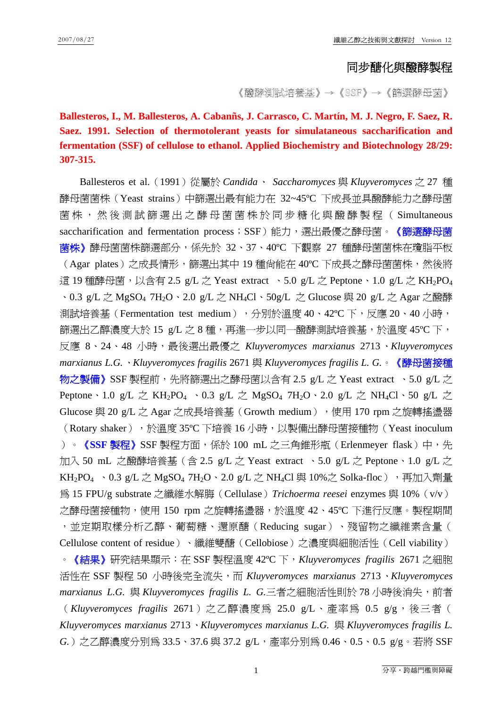## 同步醣化與醱酵製程

## 《醱酵測試培養基》→《SSF》→《篩選酵母菌》

**Ballesteros, I., M. Ballesteros, A. Cabanñs, J. Carrasco, C. Martín, M. J. Negro, F. Saez, R. Saez. 1991. Selection of thermotolerant yeasts for simulataneous saccharification and fermentation (SSF) of cellulose to ethanol. Applied Biochemistry and Biotechnology 28/29: 307-315.** 

Ballesteros et al.(1991)從屬於 *Candida*、 *Saccharomyces* 與 *Kluyveromyces* 之 27 種 酵母菌菌株(Yeast strains)中篩選出最有能力在 32~45ºC 下成長並具醱酵能力之酵母菌 菌株,然後測試篩選出之酵母菌菌株 於同步糖化與醱酵製程( Simultaneous saccharification and fermentation process; SSF)能力,選出最優之酵母菌。《節選酵母菌 菌株》酵母菌菌株篩選部分,係先於 32、37、40ºC 下觀察 27 種酵母菌菌株在瓊脂平板 (Agar plates)之成長情形,篩選出其中 19 種尙能在 40℃ 下成長之酵母菌菌株,然後將 這 19 種酵母菌, 以含有 2.5 g/L 之 Yeast extract 、 5.0 g/L 之 Peptone、 1.0 g/L 之 KH<sub>2</sub>PO<sub>4</sub> 、0.3 g/L 之 MgSO<sub>4</sub> 7H<sub>2</sub>O、2.0 g/L 之 NH<sub>4</sub>Cl、50g/L 之 Glucose 與 20 g/L 之 Agar 之醱酵 測試培養基 (Fermentation test medium),分別於溫度 40、42℃ 下,反應 20、40 小時, 篩選出乙醇濃度大於 15 g/L 之 8 種,再進一步以同一醱酵測試培養基,於溫度 45℃下, 反應 8、24、48 小時,最後選出最優之 *Kluyveromyces marxianus* 2713、*Kluyveromyces marxianus L.G.*、*Kluyveromyces fragilis* 2671 與 *Kluyveromyces fragilis L. G.*。《酵母菌接種 物之製備》SSF 製程前,先將篩選出之酵母菌以含有 2.5 g/L 之 Yeast extract 、5.0 g/L 之 Peptone、1.0 g/L 之 KH<sub>2</sub>PO<sub>4</sub> 、0.3 g/L 之 MgSO<sub>4</sub> 7H<sub>2</sub>O、2.0 g/L 之 NH<sub>4</sub>Cl、50 g/L 之 Glucose 與 20 g/L 之 Agar 之成長培養基 (Growth medium),使用 170 rpm 之旋轉搖盪器 (Rotary shaker), 於溫度 35℃ 下培養 16 小時, 以製備出酵母菌接種物 (Yeast inoculum )。 《SSF 製程》SSF 製程方面,係於 100 mL 之三角錐形瓶(Erlenmeyer flask)中,先 加入 50 mL 之醱酵培養基(含 2.5 g/L 之 Yeast extract 、5.0 g/L 之 Peptone、1.0 g/L 之 KH<sub>2</sub>PO<sub>4</sub> 、0.3 g/L 之 MgSO<sub>4</sub> 7H<sub>2</sub>O、2.0 g/L 之 NH<sub>4</sub>Cl 與 10%之 Solka-floc),,再加入劑量 為 15 FPU/g substrate 之纖維水解脢(Cellulase)*Trichoerma reesei* enzymes 與 10%(v/v) 之酵母菌接種物,使用 150 rpm 之旋轉搖盪器,於溫度 42、45ºC 下進行反應。製程期間 ,並定期取樣分析乙醇、葡萄糖、還原醣(Reducing sugar)、殘留物之纖維素含量( Cellulose content of residue)、纖維雙醣(Cellobiose)之濃度與細胞活性(Cell viability) 。《結果》研究結果顯示:在 SSF 製程溫度 42℃ 下,*Kluyveromyces fragilis* 2671 之細胞

活性在 SSF 製程 50 小時後完全流失,而 *Kluyveromyces marxianus* 2713、*Kluyveromyces marxianus L.G.* 與 *Kluyveromyces fragilis L. G.*三者之細胞活性則於 78 小時後消失,前者 (*Kluyveromyces fragilis* 2671)之乙醇濃度為 25.0 g/L、產率為 0.5 g/g,後三者( *Kluyveromyces marxianus* 2713、*Kluyveromyces marxianus L.G.* 與 *Kluyveromyces fragilis L. G.*)之乙醇濃度分別為 33.5、37.6 與 37.2 g/L,產率分別為 0.46、0.5、0.5 g/g。若將 SSF